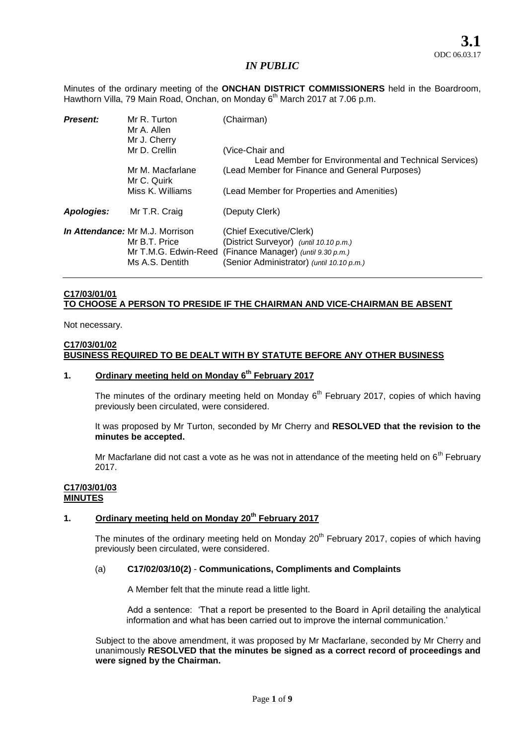Minutes of the ordinary meeting of the **ONCHAN DISTRICT COMMISSIONERS** held in the Boardroom, Hawthorn Villa, 79 Main Road, Onchan, on Monday 6<sup>th</sup> March 2017 at 7.06 p.m.

| <b>Present:</b> | Mr R. Turton<br>Mr A. Allen<br>Mr J. Cherry                                                 | (Chairman)                                                                                                                                            |
|-----------------|---------------------------------------------------------------------------------------------|-------------------------------------------------------------------------------------------------------------------------------------------------------|
|                 | Mr D. Crellin                                                                               | (Vice-Chair and<br>Lead Member for Environmental and Technical Services)                                                                              |
|                 | Mr M. Macfarlane<br>Mr C. Quirk                                                             | (Lead Member for Finance and General Purposes)                                                                                                        |
|                 | Miss K. Williams                                                                            | (Lead Member for Properties and Amenities)                                                                                                            |
| Apologies:      | Mr T.R. Craig                                                                               | (Deputy Clerk)                                                                                                                                        |
|                 | In Attendance: Mr M.J. Morrison<br>Mr B.T. Price<br>Mr T.M.G. Edwin-Reed<br>Ms A.S. Dentith | (Chief Executive/Clerk)<br>(District Surveyor) (until 10.10 p.m.)<br>(Finance Manager) (until 9.30 p.m.)<br>(Senior Administrator) (until 10.10 p.m.) |

## **C17/03/01/01 TO CHOOSE A PERSON TO PRESIDE IF THE CHAIRMAN AND VICE-CHAIRMAN BE ABSENT**

Not necessary.

### **C17/03/01/02 BUSINESS REQUIRED TO BE DEALT WITH BY STATUTE BEFORE ANY OTHER BUSINESS**

### **1. Ordinary meeting held on Monday 6 th February 2017**

The minutes of the ordinary meeting held on Monday  $6<sup>th</sup>$  February 2017, copies of which having previously been circulated, were considered.

It was proposed by Mr Turton, seconded by Mr Cherry and **RESOLVED that the revision to the minutes be accepted.** 

Mr Macfarlane did not cast a vote as he was not in attendance of the meeting held on  $6<sup>th</sup>$  February 2017.

### **C17/03/01/03 MINUTES**

# **1. Ordinary meeting held on Monday 20th February 2017**

The minutes of the ordinary meeting held on Monday 20<sup>th</sup> February 2017, copies of which having previously been circulated, were considered.

### (a) **C17/02/03/10(2)** - **Communications, Compliments and Complaints**

A Member felt that the minute read a little light.

Add a sentence: 'That a report be presented to the Board in April detailing the analytical information and what has been carried out to improve the internal communication.'

Subject to the above amendment, it was proposed by Mr Macfarlane, seconded by Mr Cherry and unanimously **RESOLVED that the minutes be signed as a correct record of proceedings and were signed by the Chairman.**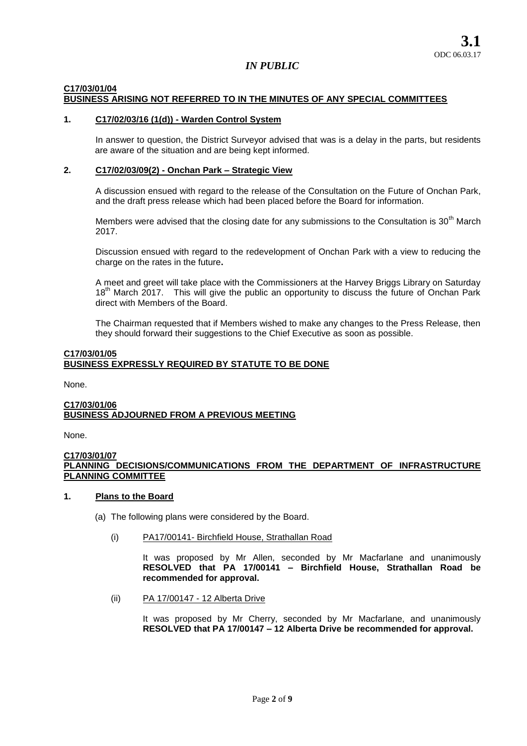#### **C17/03/01/04 BUSINESS ARISING NOT REFERRED TO IN THE MINUTES OF ANY SPECIAL COMMITTEES**

### **1. C17/02/03/16 (1(d)) - Warden Control System**

In answer to question, the District Surveyor advised that was is a delay in the parts, but residents are aware of the situation and are being kept informed.

## **2. C17/02/03/09(2) - Onchan Park – Strategic View**

A discussion ensued with regard to the release of the Consultation on the Future of Onchan Park, and the draft press release which had been placed before the Board for information.

Members were advised that the closing date for any submissions to the Consultation is  $30<sup>th</sup>$  March 2017.

Discussion ensued with regard to the redevelopment of Onchan Park with a view to reducing the charge on the rates in the future**.** 

A meet and greet will take place with the Commissioners at the Harvey Briggs Library on Saturday 18<sup>th</sup> March 2017. This will give the public an opportunity to discuss the future of Onchan Park direct with Members of the Board.

The Chairman requested that if Members wished to make any changes to the Press Release, then they should forward their suggestions to the Chief Executive as soon as possible.

### **C17/03/01/05 BUSINESS EXPRESSLY REQUIRED BY STATUTE TO BE DONE**

None.

### **C17/03/01/06 BUSINESS ADJOURNED FROM A PREVIOUS MEETING**

None.

### **C17/03/01/07 PLANNING DECISIONS/COMMUNICATIONS FROM THE DEPARTMENT OF INFRASTRUCTURE PLANNING COMMITTEE**

## **1. Plans to the Board**

- (a) The following plans were considered by the Board.
	- (i) PA17/00141- Birchfield House, Strathallan Road

It was proposed by Mr Allen, seconded by Mr Macfarlane and unanimously **RESOLVED that PA 17/00141 – Birchfield House, Strathallan Road be recommended for approval.**

(ii) PA 17/00147 - 12 Alberta Drive

It was proposed by Mr Cherry, seconded by Mr Macfarlane, and unanimously **RESOLVED that PA 17/00147 – 12 Alberta Drive be recommended for approval.**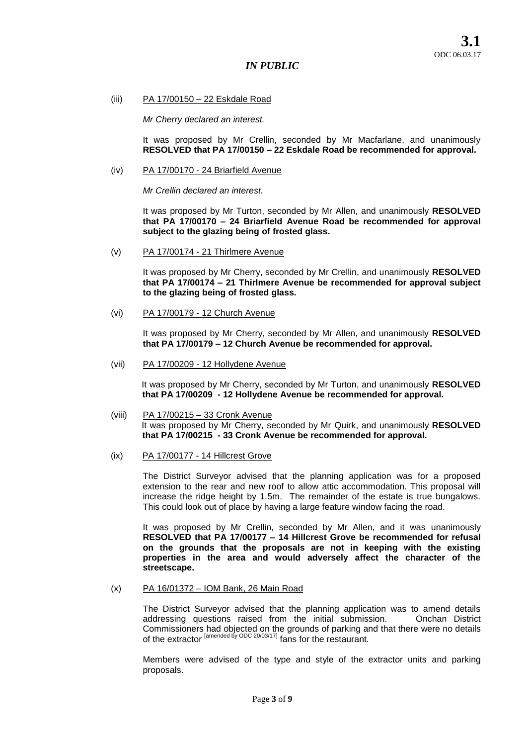**3.1** ODC 06.03.17

## *IN PUBLIC*

(iii) PA 17/00150 – 22 Eskdale Road

*Mr Cherry declared an interest.* 

It was proposed by Mr Crellin, seconded by Mr Macfarlane, and unanimously **RESOLVED that PA 17/00150 – 22 Eskdale Road be recommended for approval.** 

(iv) PA 17/00170 - 24 Briarfield Avenue

*Mr Crellin declared an interest.* 

It was proposed by Mr Turton, seconded by Mr Allen, and unanimously **RESOLVED that PA 17/00170 – 24 Briarfield Avenue Road be recommended for approval subject to the glazing being of frosted glass.** 

(v) PA 17/00174 - 21 Thirlmere Avenue

It was proposed by Mr Cherry, seconded by Mr Crellin, and unanimously **RESOLVED that PA 17/00174 – 21 Thirlmere Avenue be recommended for approval subject to the glazing being of frosted glass.** 

(vi) PA 17/00179 - 12 Church Avenue

It was proposed by Mr Cherry, seconded by Mr Allen, and unanimously **RESOLVED that PA 17/00179 – 12 Church Avenue be recommended for approval.** 

(vii) PA 17/00209 - 12 Hollydene Avenue

It was proposed by Mr Cherry, seconded by Mr Turton, and unanimously **RESOLVED that PA 17/00209 - 12 Hollydene Avenue be recommended for approval.** 

- (viii) PA 17/00215 33 Cronk Avenue It was proposed by Mr Cherry, seconded by Mr Quirk, and unanimously **RESOLVED that PA 17/00215 - 33 Cronk Avenue be recommended for approval.**
- (ix) PA 17/00177 14 Hillcrest Grove

The District Surveyor advised that the planning application was for a proposed extension to the rear and new roof to allow attic accommodation. This proposal will increase the ridge height by 1.5m. The remainder of the estate is true bungalows. This could look out of place by having a large feature window facing the road.

It was proposed by Mr Crellin, seconded by Mr Allen, and it was unanimously **RESOLVED that PA 17/00177 – 14 Hillcrest Grove be recommended for refusal on the grounds that the proposals are not in keeping with the existing properties in the area and would adversely affect the character of the streetscape.** 

(x) PA 16/01372 – IOM Bank, 26 Main Road

The District Surveyor advised that the planning application was to amend details addressing questions raised from the initial submission. Onchan District Commissioners had objected on the grounds of parking and that there were no details of the extractor <sup>[amended by ODC 20/03/17]</sup> fans for the restaurant.

Members were advised of the type and style of the extractor units and parking proposals.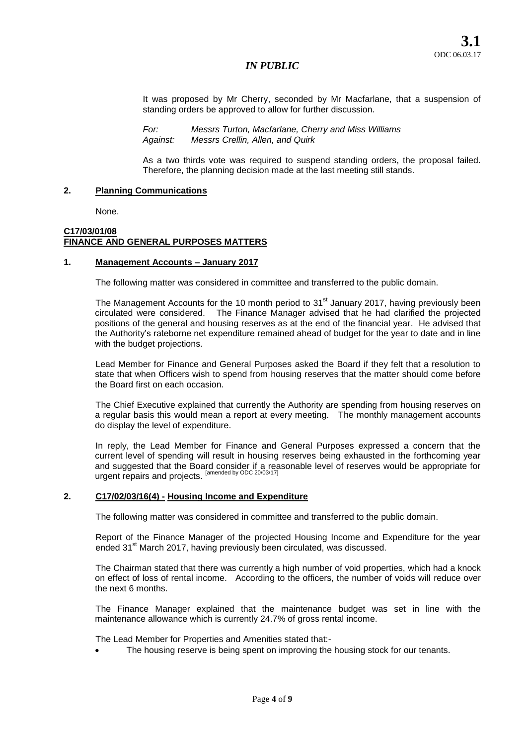It was proposed by Mr Cherry, seconded by Mr Macfarlane, that a suspension of standing orders be approved to allow for further discussion.

*For: Messrs Turton, Macfarlane, Cherry and Miss Williams Against: Messrs Crellin, Allen, and Quirk* 

As a two thirds vote was required to suspend standing orders, the proposal failed. Therefore, the planning decision made at the last meeting still stands.

### **2. Planning Communications**

None.

## **C17/03/01/08 FINANCE AND GENERAL PURPOSES MATTERS**

### **1. Management Accounts – January 2017**

The following matter was considered in committee and transferred to the public domain.

The Management Accounts for the 10 month period to  $31<sup>st</sup>$  January 2017, having previously been circulated were considered. The Finance Manager advised that he had clarified the projected positions of the general and housing reserves as at the end of the financial year. He advised that the Authority's rateborne net expenditure remained ahead of budget for the year to date and in line with the budget projections.

Lead Member for Finance and General Purposes asked the Board if they felt that a resolution to state that when Officers wish to spend from housing reserves that the matter should come before the Board first on each occasion.

The Chief Executive explained that currently the Authority are spending from housing reserves on a regular basis this would mean a report at every meeting. The monthly management accounts do display the level of expenditure.

In reply, the Lead Member for Finance and General Purposes expressed a concern that the current level of spending will result in housing reserves being exhausted in the forthcoming year and suggested that the Board consider if a reasonable level of reserves would be appropriate for urgent repairs and projects. [amended by ODC 20/03/17]

### **2. C17/02/03/16(4) - Housing Income and Expenditure**

The following matter was considered in committee and transferred to the public domain.

Report of the Finance Manager of the projected Housing Income and Expenditure for the year ended 31<sup>st</sup> March 2017, having previously been circulated, was discussed.

The Chairman stated that there was currently a high number of void properties, which had a knock on effect of loss of rental income. According to the officers, the number of voids will reduce over the next 6 months.

The Finance Manager explained that the maintenance budget was set in line with the maintenance allowance which is currently 24.7% of gross rental income.

The Lead Member for Properties and Amenities stated that:-

The housing reserve is being spent on improving the housing stock for our tenants.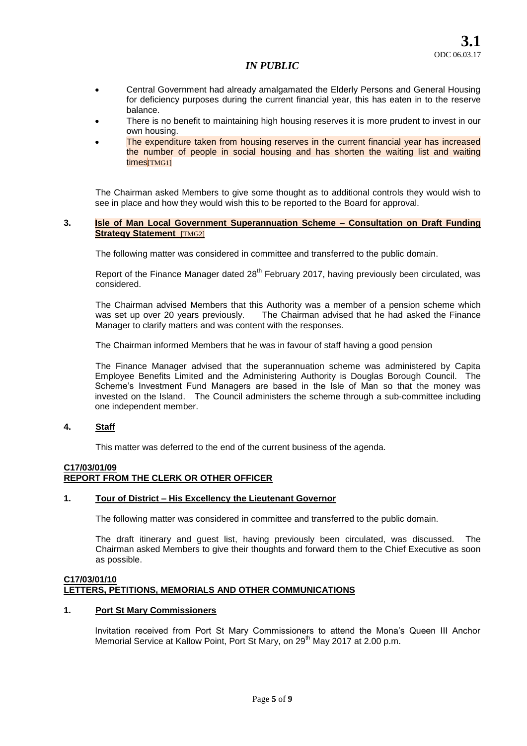- Central Government had already amalgamated the Elderly Persons and General Housing for deficiency purposes during the current financial year, this has eaten in to the reserve balance.
- There is no benefit to maintaining high housing reserves it is more prudent to invest in our own housing.
- The expenditure taken from housing reserves in the current financial year has increased the number of people in social housing and has shorten the waiting list and waiting times<sup>[TMG1]</sup>

The Chairman asked Members to give some thought as to additional controls they would wish to see in place and how they would wish this to be reported to the Board for approval.

### **3. Isle of Man Local Government Superannuation Scheme – Consultation on Draft Funding Strategy Statement** [TMG2]

The following matter was considered in committee and transferred to the public domain.

Report of the Finance Manager dated  $28<sup>th</sup>$  February 2017, having previously been circulated, was considered.

The Chairman advised Members that this Authority was a member of a pension scheme which was set up over 20 years previously. The Chairman advised that he had asked the Finance The Chairman advised that he had asked the Finance Manager to clarify matters and was content with the responses.

The Chairman informed Members that he was in favour of staff having a good pension

The Finance Manager advised that the superannuation scheme was administered by Capita Employee Benefits Limited and the Administering Authority is Douglas Borough Council. The Scheme's Investment Fund Managers are based in the Isle of Man so that the money was invested on the Island. The Council administers the scheme through a sub-committee including one independent member.

## **4. Staff**

This matter was deferred to the end of the current business of the agenda.

# **C17/03/01/09**

# **REPORT FROM THE CLERK OR OTHER OFFICER**

### **1. Tour of District – His Excellency the Lieutenant Governor**

The following matter was considered in committee and transferred to the public domain.

The draft itinerary and guest list, having previously been circulated, was discussed. The Chairman asked Members to give their thoughts and forward them to the Chief Executive as soon as possible.

### **C17/03/01/10 LETTERS, PETITIONS, MEMORIALS AND OTHER COMMUNICATIONS**

## **1. Port St Mary Commissioners**

Invitation received from Port St Mary Commissioners to attend the Mona's Queen III Anchor Memorial Service at Kallow Point, Port St Mary, on 29<sup>th</sup> May 2017 at 2.00 p.m.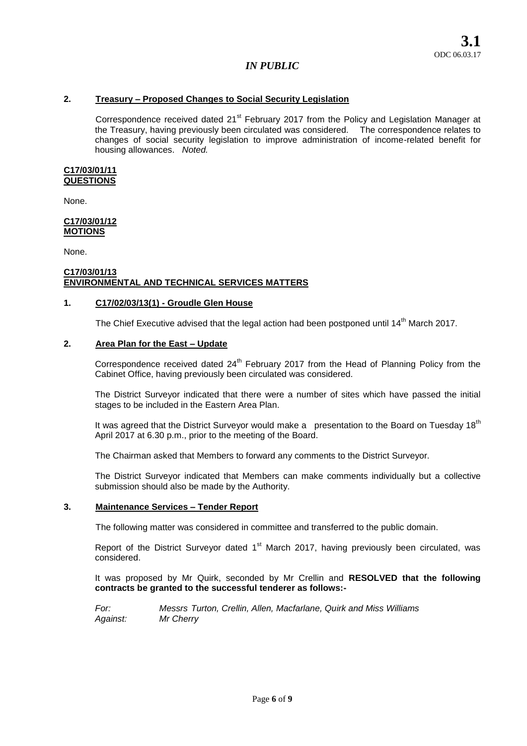### **2. Treasury – Proposed Changes to Social Security Legislation**

Correspondence received dated 21<sup>st</sup> February 2017 from the Policy and Legislation Manager at the Treasury, having previously been circulated was considered. The correspondence relates to changes of social security legislation to improve administration of income-related benefit for housing allowances. *Noted.*

#### **C17/03/01/11 QUESTIONS**

None.

#### **C17/03/01/12 MOTIONS**

None.

#### **C17/03/01/13 ENVIRONMENTAL AND TECHNICAL SERVICES MATTERS**

### **1. C17/02/03/13(1) - Groudle Glen House**

The Chief Executive advised that the legal action had been postponed until  $14<sup>th</sup>$  March 2017.

## **2. Area Plan for the East – Update**

Correspondence received dated 24<sup>th</sup> February 2017 from the Head of Planning Policy from the Cabinet Office, having previously been circulated was considered.

The District Surveyor indicated that there were a number of sites which have passed the initial stages to be included in the Eastern Area Plan.

It was agreed that the District Surveyor would make a presentation to the Board on Tuesday 18<sup>th</sup> April 2017 at 6.30 p.m., prior to the meeting of the Board.

The Chairman asked that Members to forward any comments to the District Surveyor.

The District Surveyor indicated that Members can make comments individually but a collective submission should also be made by the Authority.

### **3. Maintenance Services – Tender Report**

The following matter was considered in committee and transferred to the public domain.

Report of the District Surveyor dated  $1<sup>st</sup>$  March 2017, having previously been circulated, was considered.

It was proposed by Mr Quirk, seconded by Mr Crellin and **RESOLVED that the following contracts be granted to the successful tenderer as follows:-**

*For: Messrs Turton, Crellin, Allen, Macfarlane, Quirk and Miss Williams Against: Mr Cherry*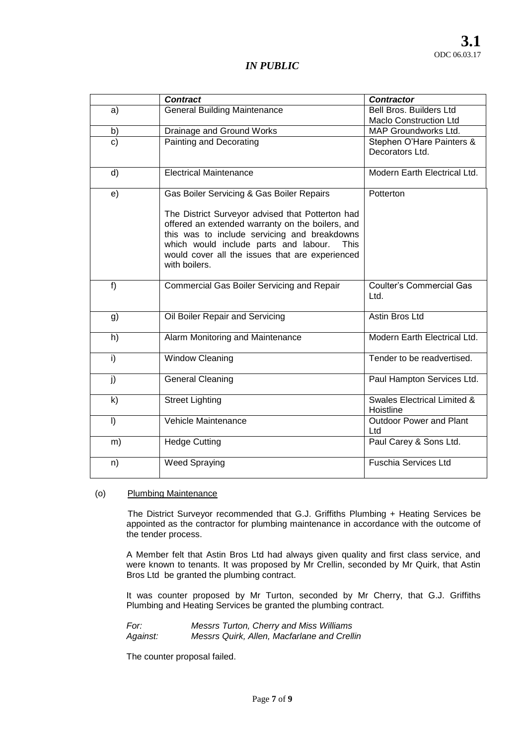|              | <b>Contract</b>                                                                                                                                                                                                                                                                                                        | <b>Contractor</b>                                        |
|--------------|------------------------------------------------------------------------------------------------------------------------------------------------------------------------------------------------------------------------------------------------------------------------------------------------------------------------|----------------------------------------------------------|
| a)           | <b>General Building Maintenance</b>                                                                                                                                                                                                                                                                                    | Bell Bros. Builders Ltd<br><b>Maclo Construction Ltd</b> |
| b)           | Drainage and Ground Works                                                                                                                                                                                                                                                                                              | MAP Groundworks Ltd.                                     |
| C)           | Painting and Decorating                                                                                                                                                                                                                                                                                                | Stephen O'Hare Painters &<br>Decorators Ltd.             |
| d)           | <b>Electrical Maintenance</b>                                                                                                                                                                                                                                                                                          | Modern Earth Electrical Ltd.                             |
| e)           | Gas Boiler Servicing & Gas Boiler Repairs<br>The District Surveyor advised that Potterton had<br>offered an extended warranty on the boilers, and<br>this was to include servicing and breakdowns<br>which would include parts and labour.<br>This<br>would cover all the issues that are experienced<br>with boilers. | Potterton                                                |
| $f$ )        | Commercial Gas Boiler Servicing and Repair                                                                                                                                                                                                                                                                             | <b>Coulter's Commercial Gas</b><br>Ltd.                  |
| g)           | Oil Boiler Repair and Servicing                                                                                                                                                                                                                                                                                        | Astin Bros Ltd                                           |
| h)           | Alarm Monitoring and Maintenance                                                                                                                                                                                                                                                                                       | Modern Earth Electrical Ltd.                             |
| i)           | <b>Window Cleaning</b>                                                                                                                                                                                                                                                                                                 | Tender to be readvertised.                               |
| j)           | <b>General Cleaning</b>                                                                                                                                                                                                                                                                                                | Paul Hampton Services Ltd.                               |
| $\mathsf{k}$ | <b>Street Lighting</b>                                                                                                                                                                                                                                                                                                 | <b>Swales Electrical Limited &amp;</b><br>Hoistline      |
| $\vert$      | Vehicle Maintenance                                                                                                                                                                                                                                                                                                    | <b>Outdoor Power and Plant</b><br>Ltd                    |
| m)           | <b>Hedge Cutting</b>                                                                                                                                                                                                                                                                                                   | Paul Carey & Sons Ltd.                                   |
| n)           | <b>Weed Spraying</b>                                                                                                                                                                                                                                                                                                   | <b>Fuschia Services Ltd</b>                              |

### (o) Plumbing Maintenance

The District Surveyor recommended that G.J. Griffiths Plumbing + Heating Services be appointed as the contractor for plumbing maintenance in accordance with the outcome of the tender process.

A Member felt that Astin Bros Ltd had always given quality and first class service, and were known to tenants. It was proposed by Mr Crellin, seconded by Mr Quirk, that Astin Bros Ltd be granted the plumbing contract.

It was counter proposed by Mr Turton, seconded by Mr Cherry, that G.J. Griffiths Plumbing and Heating Services be granted the plumbing contract.

*For: Messrs Turton, Cherry and Miss Williams Against: Messrs Quirk, Allen, Macfarlane and Crellin* 

The counter proposal failed.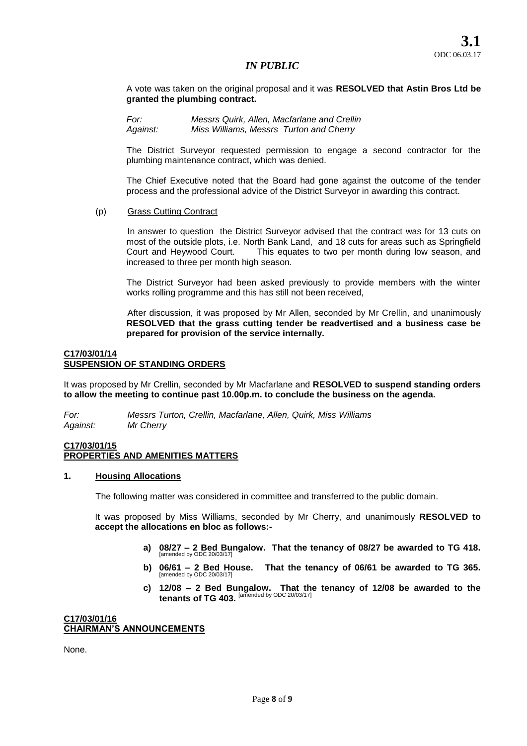A vote was taken on the original proposal and it was **RESOLVED that Astin Bros Ltd be granted the plumbing contract.** 

*For: Messrs Quirk, Allen, Macfarlane and Crellin Against: Miss Williams, Messrs Turton and Cherry* 

The District Surveyor requested permission to engage a second contractor for the plumbing maintenance contract, which was denied.

The Chief Executive noted that the Board had gone against the outcome of the tender process and the professional advice of the District Surveyor in awarding this contract.

### (p) Grass Cutting Contract

In answer to question the District Surveyor advised that the contract was for 13 cuts on most of the outside plots, i.e. North Bank Land, and 18 cuts for areas such as Springfield Court and Heywood Court. This equates to two per month during low season, and increased to three per month high season.

The District Surveyor had been asked previously to provide members with the winter works rolling programme and this has still not been received,

After discussion, it was proposed by Mr Allen, seconded by Mr Crellin, and unanimously **RESOLVED that the grass cutting tender be readvertised and a business case be prepared for provision of the service internally.** 

### **C17/03/01/14 SUSPENSION OF STANDING ORDERS**

It was proposed by Mr Crellin, seconded by Mr Macfarlane and **RESOLVED to suspend standing orders to allow the meeting to continue past 10.00p.m. to conclude the business on the agenda.** 

*For: Messrs Turton, Crellin, Macfarlane, Allen, Quirk, Miss Williams Against: Mr Cherry* 

## **C17/03/01/15 PROPERTIES AND AMENITIES MATTERS**

### **1. Housing Allocations**

The following matter was considered in committee and transferred to the public domain.

It was proposed by Miss Williams, seconded by Mr Cherry, and unanimously **RESOLVED to accept the allocations en bloc as follows:-**

- **a) 08/27 – 2 Bed Bungalow. That the tenancy of 08/27 be awarded to TG 418.**  [amended by ODC 20/03/17]
- **b) 06/61 – 2 Bed House. That the tenancy of 06/61 be awarded to TG 365.**  [amended by ODC 20/03/17]
- **c) 12/08 – 2 Bed Bungalow. That the tenancy of 12/08 be awarded to the tenants of TG 403.** [amended by ODC 20/03/17]

#### **C17/03/01/16 CHAIRMAN'S ANNOUNCEMENTS**

None.